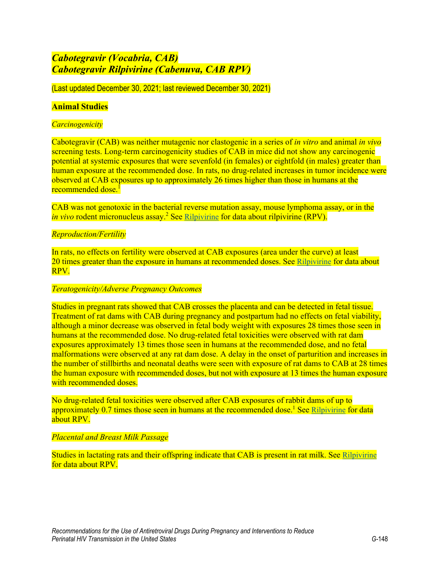# *Cabotegravir (Vocabria, CAB) Cabotegravir Rilpivirine (Cabenuva, CAB RPV)*

(Last updated December 30, 2021; last reviewed December 30, 2021)

## **Animal Studies**

### *Carcinogenicity*

Cabotegravir (CAB) was neither mutagenic nor clastogenic in a series of *in vitro* and animal *in vivo* screening tests. Long-term carcinogenicity studies of CAB in mice did not show any carcinogenic potential at systemic exposures that were sevenfold (in females) or eightfold (in males) greater than human exposure at the recommended dose. In rats, no drug-related increases in tumor incidence were observed at CAB exposures up to approximately 26 times higher than those in humans at the <mark>recommended dose.<sup>[1](#page-4-0)</sup></mark>

CAB was not genotoxic in the bacterial reverse mutation assay, mouse lymphoma assay, or in the *in vivo* rodent micronucleus assay[.](#page-4-1)<sup>2</sup> See [Rilpivirine](https://clinicalinfo.hiv.gov/en/guidelines/perinatal/rilpivirine-edurant-rpv?view=full) for data about rilpivirine (RPV).

## *Reproduction/Fertility*

In rats, no effects on fertility were observed at CAB exposures (area under the curve) at least 20 times greater than the exposure in humans at recommended doses. See [Rilpivirine](https://clinicalinfo.hiv.gov/en/guidelines/perinatal/rilpivirine-edurant-rpv?view=full) for data about RPV.

#### *Teratogenicity/Adverse Pregnancy Outcomes*

Studies in pregnant rats showed that CAB crosses the placenta and can be detected in fetal tissue. Treatment of rat dams with CAB during pregnancy and postpartum had no effects on fetal viability, although a minor decrease was observed in fetal body weight with exposures 28 times those seen in humans at the recommended dose. No drug-related fetal toxicities were observed with rat dam exposures approximately 13 times those seen in humans at the recommended dose, and no fetal malformations were observed at any rat dam dose. A delay in the onset of parturition and increases in the number of stillbirths and neonatal deaths were seen with exposure of rat dams to CAB at 28 times the human exposure with recommended doses, but not with exposure at 13 times the human exposure with recommended doses.

No drug-related fetal toxicities were observed after CAB exposures of rabbit dams of up to approximately  $0.7$  times those seen in humans at the recommended dose.<sup>1</sup> See [Rilpivirine](https://clinicalinfo.hiv.gov/en/guidelines/perinatal/rilpivirine-edurant-rpv?view=full) for data about RPV.

#### *Placental and Breast Milk Passage*

Studies in lactating rats and their offspring indicate that CAB is present in rat milk. See [Rilpivirine](https://clinicalinfo.hiv.gov/en/guidelines/perinatal/rilpivirine-edurant-rpv?view=full) for data about RPV.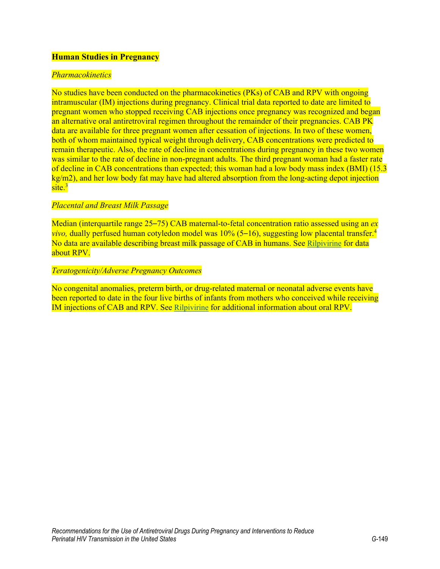# **Human Studies in Pregnancy**

# *Pharmacokinetics*

No studies have been conducted on the pharmacokinetics (PKs) of CAB and RPV with ongoing intramuscular (IM) injections during pregnancy. Clinical trial data reported to date are limited to pregnant women who stopped receiving CAB injections once pregnancy was recognized and began an alternative oral antiretroviral regimen throughout the remainder of their pregnancies. CAB PK data are available for three pregnant women after cessation of injections. In two of these women, both of whom maintained typical weight through delivery, CAB concentrations were predicted to remain therapeutic. Also, the rate of decline in concentrations during pregnancy in these two women was similar to the rate of decline in non-pregnant adults. The third pregnant woman had a faster rate of decline in CAB concentrations than expected; this woman had a low body mass index (BMI) (15.3 kg/m2), and her low body fat may have had altered absorption from the long-acting depot injection  $\text{site.}^3$  $\text{site.}^3$ 

# *Placental and Breast Milk Passage*

Median (interquartile range 25–75) CAB maternal-to-fetal concentration ratio assessed using an *ex vivo,* dually perfused human cotyledon model was 10% (5–16), suggesting low placental transfer[.](#page-4-3) 4 No data are available describing breast milk passage of CAB in humans. See [Rilpivirine](https://clinicalinfo.hiv.gov/en/guidelines/perinatal/rilpivirine-edurant-rpv?view=full) for data about RPV.

## *Teratogenicity/Adverse Pregnancy Outcomes*

No congenital anomalies, preterm birth, or drug-related maternal or neonatal adverse events have been reported to date in the four live births of infants from mothers who conceived while receiving IM injections of CAB and RPV. See [Rilpivirine](https://clinicalinfo.hiv.gov/en/guidelines/perinatal/rilpivirine-edurant-rpv?view=full) for additional information about oral RPV.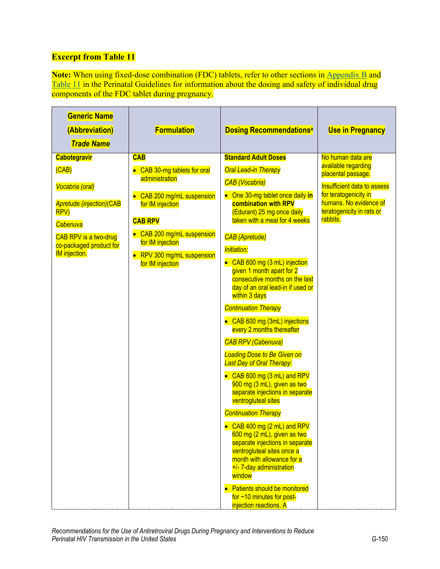# **Excerpt from Table 11**

**Note:** When using fixed-dose combination (FDC) tablets, refer to other sections in [Appendix B](https://clinicalinfo.hiv.gov/en/guidelines/perinatal/overview-3?view=full) and [Table 11](https://clinicalinfo.hiv.gov/en/table/table-10-antiretroviral-drug-use-pregnant-women-hiv-infection-pharmacokinetic-and-toxicity) in the Perinatal Guidelines for information about the dosing and safety of individual drug components of the FDC tablet during pregnancy.

| <b>Generic Name</b><br>(Abbreviation)<br><b>Trade Name</b>                                                                                                  | <b>Formulation</b>                                                                                                                                                                                                     | <b>Dosing Recommendationsa</b>                                                                                                                                                                                                                                                                                                                                                                                                                                                                                                                                                                                                                                                                                          | <b>Use in Pregnancy</b>                                                                                                                                                     |
|-------------------------------------------------------------------------------------------------------------------------------------------------------------|------------------------------------------------------------------------------------------------------------------------------------------------------------------------------------------------------------------------|-------------------------------------------------------------------------------------------------------------------------------------------------------------------------------------------------------------------------------------------------------------------------------------------------------------------------------------------------------------------------------------------------------------------------------------------------------------------------------------------------------------------------------------------------------------------------------------------------------------------------------------------------------------------------------------------------------------------------|-----------------------------------------------------------------------------------------------------------------------------------------------------------------------------|
| <b>Cabotegravir</b>                                                                                                                                         | <b>CAB</b>                                                                                                                                                                                                             | <b>Standard Adult Doses</b>                                                                                                                                                                                                                                                                                                                                                                                                                                                                                                                                                                                                                                                                                             | No human data are                                                                                                                                                           |
| (CAB)<br>Vocabria (oral)<br><b>Apretude (injection)(CAB</b><br>RPV)<br>Cabenuva<br>CAB RPV is a two-drug<br>co-packaged product for<br><b>IM</b> injection. | • CAB 30-mg tablets for oral<br>administration<br>• CAB 200 mg/mL suspension<br>for IM injection<br><b>CAB RPV</b><br>• CAB 200 mg/mL suspension<br>for IM injection<br>• RPV 300 mg/mL suspension<br>for IM injection | <b>Oral Lead-in Therapy</b><br><b>CAB</b> (Vocabria)<br>• One 30-mg tablet once daily in<br><b>combination with RPV</b><br>(Edurant) 25 mg once daily<br>taken with a meal for 4 weeks<br><b>CAB</b> (Apretude)<br><b>Initiation:</b><br>• CAB 600 mg (3 mL) injection<br>given 1 month apart for 2<br>consecutive months on the last<br>day of an oral lead-in if used or<br>within 3 days<br><b>Continuation Therapy</b><br>• CAB 600 mg (3mL) injections<br>every 2 months thereafter<br><b>CAB RPV (Cabenuva)</b><br><b>Loading Dose to Be Given on</b><br><b>Last Day of Oral Therapy:</b><br>• CAB 600 mg (3 mL) and RPV<br>900 mg (3 mL), given as two<br>separate injections in separate<br>ventrogluteal sites | available regarding<br>placental passage.<br><b>Insufficient data to assess</b><br>for teratogenicity in<br>humans. No evidence of<br>teratogenicity in rats or<br>rabbits. |
|                                                                                                                                                             |                                                                                                                                                                                                                        | <b>Continuation Therapy</b><br>• CAB 400 mg (2 mL) and RPV<br>600 mg (2 mL), given as two                                                                                                                                                                                                                                                                                                                                                                                                                                                                                                                                                                                                                               |                                                                                                                                                                             |
|                                                                                                                                                             |                                                                                                                                                                                                                        | separate injections in separate<br>ventrogluteal sites once a<br>month with allowance for a<br>+/- 7-day administration<br>window                                                                                                                                                                                                                                                                                                                                                                                                                                                                                                                                                                                       |                                                                                                                                                                             |
|                                                                                                                                                             |                                                                                                                                                                                                                        | Patients should be monitored<br>for $\sim$ 10 minutes for post-<br>injection reactions. A                                                                                                                                                                                                                                                                                                                                                                                                                                                                                                                                                                                                                               |                                                                                                                                                                             |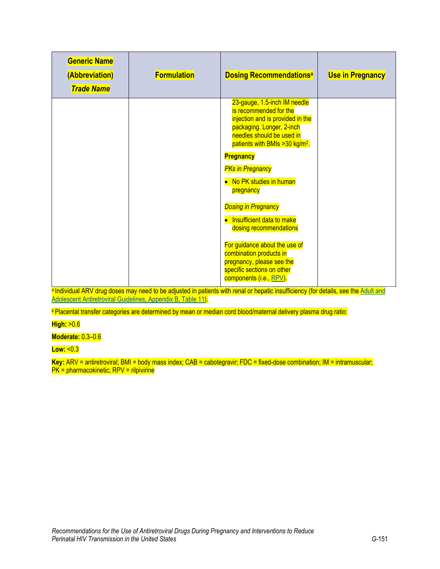| <b>Generic Name</b><br>(Abbreviation)<br><b>Trade Name</b> | <b>Formulation</b> | <b>Dosing Recommendations<sup>a</sup></b>                                                                                                                                                           | <b>Use in Pregnancy</b> |
|------------------------------------------------------------|--------------------|-----------------------------------------------------------------------------------------------------------------------------------------------------------------------------------------------------|-------------------------|
|                                                            |                    | 23-gauge, 1.5-inch IM needle<br>is recommended for the<br>injection and is provided in the<br>packaging. Longer, 2-inch<br>needles should be used in<br>patients with BMIs > 30 kg/m <sup>2</sup> . |                         |
|                                                            |                    | <b>Pregnancy</b>                                                                                                                                                                                    |                         |
|                                                            |                    | <b>PKs in Pregnancy</b><br>• No PK studies in human<br>pregnancy                                                                                                                                    |                         |
|                                                            |                    | <b>Dosing in Pregnancy</b><br>• Insufficient data to make<br>dosing recommendations                                                                                                                 |                         |
|                                                            |                    | For guidance about the use of<br>combination products in<br>pregnancy, please see the<br>specific sections on other<br>components (i.e., RPV).                                                      |                         |

a Individual ARV drug doses may need to be adjusted in patients with renal or hepatic insufficiency (for details, see the Adult and [Adolescent Antiretroviral Guidelines, Appendix B, Table 11\)](https://clinicalinfo.hiv.gov/en/guidelines/adult-and-adolescent-arv/antiretroviral-dosing-recommendations-patients-renal-or-hepatic?view=full).

**Placental transfer categories are determined by mean or median cord blood/maternal delivery plasma drug ratio:** 

**High:** >0.6

**Moderate:** 0.3–0.6

**Low:** <0.3

**Key:** ARV = antiretroviral; BMI = body mass index; CAB = cabotegravir; FDC = fixed-dose combination; IM = intramuscular; PK = pharmacokinetic; RPV = rilpivirine